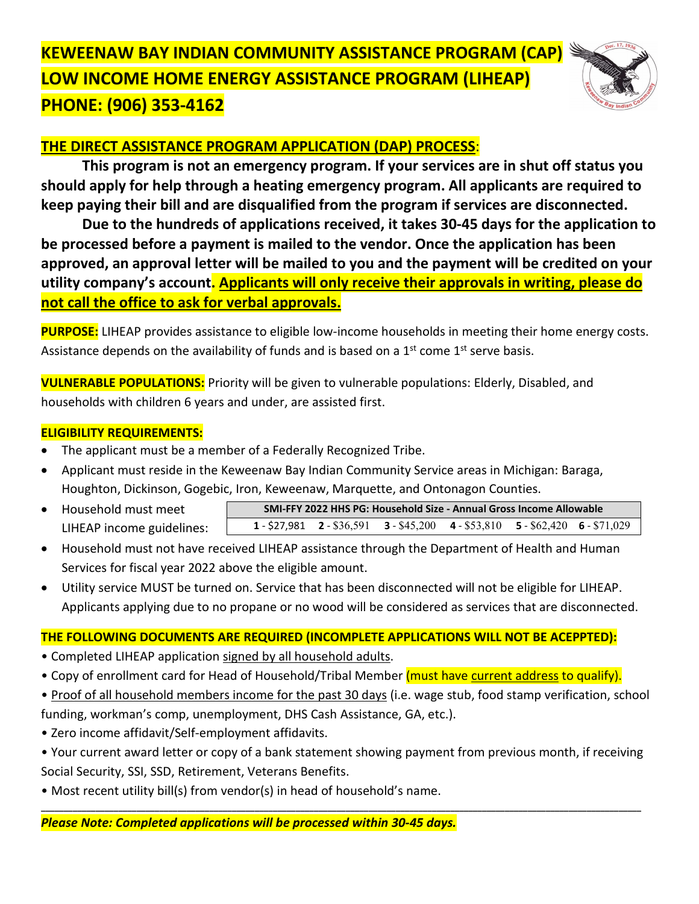# **KEWEENAW BAY INDIAN COMMUNITY ASSISTANCE PROGRAM (CAP) LOW INCOME HOME ENERGY ASSISTANCE PROGRAM (LIHEAP) PHONE: (906) 353-4162**



## **THE DIRECT ASSISTANCE PROGRAM APPLICATION (DAP) PROCESS**:

**This program is not an emergency program. If your services are in shut off status you should apply for help through a heating emergency program. All applicants are required to keep paying their bill and are disqualified from the program if services are disconnected.**

**Due to the hundreds of applications received, it takes 30-45 days for the application to be processed before a payment is mailed to the vendor. Once the application has been approved, an approval letter will be mailed to you and the payment will be credited on your utility company's account. Applicants will only receive their approvals in writing, please do not call the office to ask for verbal approvals.**

**PURPOSE:** LIHEAP provides assistance to eligible low-income households in meeting their home energy costs. Assistance depends on the availability of funds and is based on a  $1<sup>st</sup>$  come  $1<sup>st</sup>$  serve basis.

**VULNERABLE POPULATIONS:** Priority will be given to vulnerable populations: Elderly, Disabled, and households with children 6 years and under, are assisted first.

#### **ELIGIBILITY REQUIREMENTS:**

- The applicant must be a member of a Federally Recognized Tribe.
- Applicant must reside in the Keweenaw Bay Indian Community Service areas in Michigan: Baraga, Houghton, Dickinson, Gogebic, Iron, Keweenaw, Marquette, and Ontonagon Counties.
- Household must meet LIHEAP income guidelines: **SMI-FFY 2022 HHS PG: Household Size - Annual Gross Income Allowable 1** - \$27,981 **2** - \$36,591 **3** - \$45,200 **4** - \$53,810 **5** - \$62,420 **6** - \$71,029
- Household must not have received LIHEAP assistance through the Department of Health and Human Services for fiscal year 2022 above the eligible amount.
- Utility service MUST be turned on. Service that has been disconnected will not be eligible for LIHEAP. Applicants applying due to no propane or no wood will be considered as services that are disconnected.

### **THE FOLLOWING DOCUMENTS ARE REQUIRED (INCOMPLETE APPLICATIONS WILL NOT BE ACEPPTED):**

- Completed LIHEAP application signed by all household adults.
- Copy of enrollment card for Head of Household/Tribal Member (must have current address to qualify).
- Proof of all household members income for the past 30 days (i.e. wage stub, food stamp verification, school funding, workman's comp, unemployment, DHS Cash Assistance, GA, etc.).
- Zero income affidavit/Self-employment affidavits.
- Your current award letter or copy of a bank statement showing payment from previous month, if receiving Social Security, SSI, SSD, Retirement, Veterans Benefits.

**\_\_\_\_\_\_\_\_\_\_\_\_\_\_\_\_\_\_\_\_\_\_\_\_\_\_\_\_\_\_\_\_\_\_\_\_\_\_\_\_\_\_\_\_\_\_\_\_\_\_\_\_\_\_\_\_\_\_\_\_\_\_\_\_\_\_\_\_\_\_\_\_\_\_\_\_\_\_\_\_\_\_\_\_\_\_\_\_\_\_\_\_\_\_\_\_\_\_\_\_\_\_\_\_\_\_\_\_\_\_\_\_\_\_\_\_\_\_\_\_\_\_\_\_\_\_\_\_\_\_\_\_**

• Most recent utility bill(s) from vendor(s) in head of household's name.

#### *Please Note: Completed applications will be processed within 30-45 days.*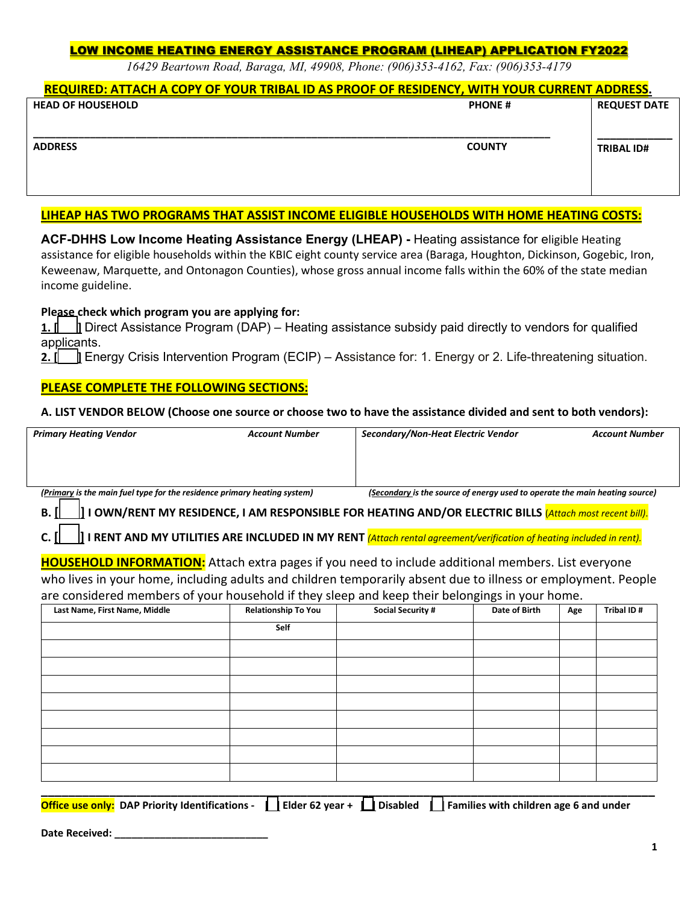#### LOW INCOME HEATING ENERGY ASSISTANCE PROGRAM (LIHEAP) APPLICATION FY2022

*16429 Beartown Road, Baraga, MI, 49908, Phone: (906)353-4162, Fax: (906)353-4179*

#### **REQUIRED: ATTACH A COPY OF YOUR TRIBAL ID AS PROOF OF RESIDENCY, WITH YOUR CURRENT ADDRESS.**

| <b>HEAD OF HOUSEHOLD</b> | <b>PHONE#</b> | <b>REQUEST DATE</b> |  |
|--------------------------|---------------|---------------------|--|
| <b>ADDRESS</b>           | <b>COUNTY</b> | <b>TRIBAL ID#</b>   |  |
|                          |               |                     |  |

#### **LIHEAP HAS TWO PROGRAMS THAT ASSIST INCOME ELIGIBLE HOUSEHOLDS WITH HOME HEATING COSTS:**

**ACF-DHHS Low Income Heating Assistance Energy (LHEAP) -** Heating assistance for eligible Heating assistance for eligible households within the KBIC eight county service area (Baraga, Houghton, Dickinson, Gogebic, Iron, Keweenaw, Marquette, and Ontonagon Counties), whose gross annual income falls within the 60% of the state median income guideline.

#### **Please check which program you are applying for:**

**1.**  $\parallel$  Direct Assistance Program (DAP) – Heating assistance subsidy paid directly to vendors for qualified applicants.

**2. [ ]** Energy Crisis Intervention Program (ECIP) – Assistance for: 1. Energy or 2. Life-threatening situation.

#### **PLEASE COMPLETE THE FOLLOWING SECTIONS:**

#### **A. LIST VENDOR BELOW (Choose one source or choose two to have the assistance divided and sent to both vendors):**

| <b>Primary Heating Vendor</b>                                                                                              | <b>Account Number</b>      | Secondary/Non-Heat Electric Vendor                                          |               |     | <b>Account Number</b> |
|----------------------------------------------------------------------------------------------------------------------------|----------------------------|-----------------------------------------------------------------------------|---------------|-----|-----------------------|
|                                                                                                                            |                            |                                                                             |               |     |                       |
|                                                                                                                            |                            |                                                                             |               |     |                       |
| (Primary is the main fuel type for the residence primary heating system)                                                   |                            | (Secondary is the source of energy used to operate the main heating source) |               |     |                       |
| I I OWN/RENT MY RESIDENCE, I AM RESPONSIBLE FOR HEATING AND/OR ELECTRIC BILLS (Attach most recent bill).<br>В.             |                            |                                                                             |               |     |                       |
| I RENT AND MY UTILITIES ARE INCLUDED IN MY RENT <i>(Attach rental agreement/verification of heating included in rent).</i> |                            |                                                                             |               |     |                       |
|                                                                                                                            |                            |                                                                             |               |     |                       |
| <b>HOUSEHOLD INFORMATION:</b> Attach extra pages if you need to include additional members. List everyone                  |                            |                                                                             |               |     |                       |
| who lives in your home, including adults and children temporarily absent due to illness or employment. People              |                            |                                                                             |               |     |                       |
| are considered members of your household if they sleep and keep their belongings in your home.                             |                            |                                                                             |               |     |                       |
| Last Name, First Name, Middle                                                                                              | <b>Relationship To You</b> | <b>Social Security #</b>                                                    | Date of Birth | Age | Tribal ID#            |
|                                                                                                                            | Self                       |                                                                             |               |     |                       |
|                                                                                                                            |                            |                                                                             |               |     |                       |
|                                                                                                                            |                            |                                                                             |               |     |                       |
|                                                                                                                            |                            |                                                                             |               |     |                       |
|                                                                                                                            |                            |                                                                             |               |     |                       |
|                                                                                                                            |                            |                                                                             |               |     |                       |
|                                                                                                                            |                            |                                                                             |               |     |                       |
|                                                                                                                            |                            |                                                                             |               |     |                       |
|                                                                                                                            |                            |                                                                             |               |     |                       |

|  |  |  | Office use only: DAP Priority Identifications - $\Box$ Elder 62 year + $\Box$ Disabled $\Box$ Families with children age 6 and under |
|--|--|--|--------------------------------------------------------------------------------------------------------------------------------------|

**Date Received: \_\_\_\_\_\_\_\_\_\_\_\_\_\_\_\_\_\_\_\_\_\_\_\_\_\_\_**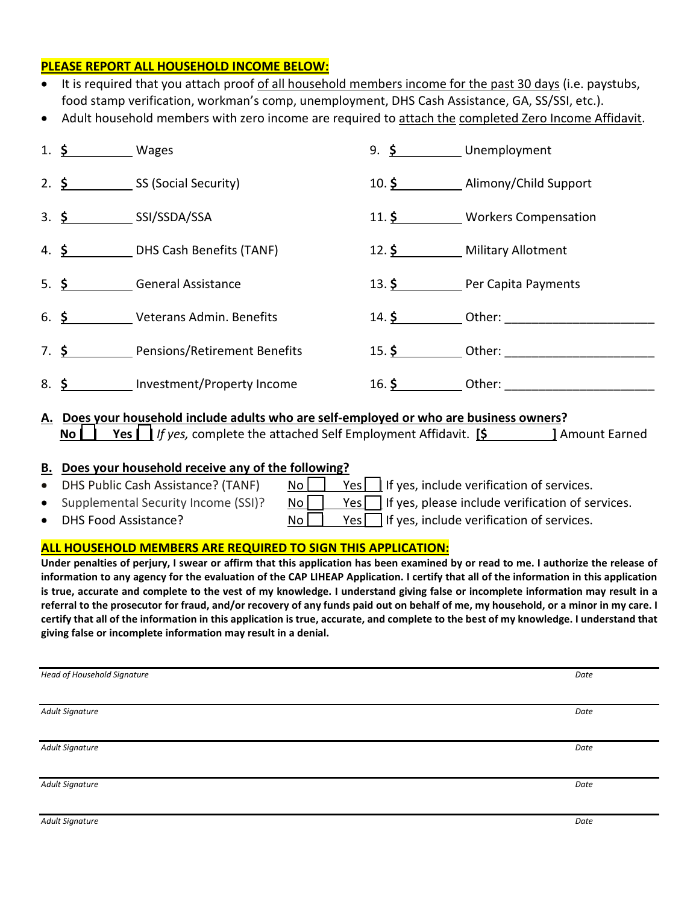#### **PLEASE REPORT ALL HOUSEHOLD INCOME BELOW:**

| • It is required that you attach proof of all household members income for the past 30 days (i.e. paystubs, |
|-------------------------------------------------------------------------------------------------------------|
| food stamp verification, workman's comp, unemployment, DHS Cash Assistance, GA, SS/SSI, etc.).              |

• Adult household members with zero income are required to attach the completed Zero Income Affidavit.

|     | 1. $\frac{\xi}{2}$ Wages |                                                   | 9. \$ Unemployment |                                  |
|-----|--------------------------|---------------------------------------------------|--------------------|----------------------------------|
|     |                          | 2. $\frac{\xi}{\xi}$ SS (Social Security)         |                    | 10. \$ Alimony/Child Support     |
|     |                          | $3.$ $\frac{\mathsf{S}}{\mathsf{S}}$ SSI/SSDA/SSA |                    | 11. \$ Workers Compensation      |
|     |                          | 4. \$ DHS Cash Benefits (TANF)                    |                    | 12. \$ Military Allotment        |
|     |                          | 5. \$ General Assistance                          |                    | 13. \$ Per Capita Payments       |
|     |                          | 6. \$ Veterans Admin. Benefits                    |                    | $14.$ \$ Other:                  |
|     |                          | 7. \$ Pensions/Retirement Benefits                |                    |                                  |
| 8.5 |                          | Investment/Property Income                        | $16.$ \$           | Other: <u>__________________</u> |

#### **A. Does your household include adults who are self-employed or who are business owners? No [ ] Yes [ ]** *If yes,* complete the attached Self Employment Affidavit. **[\$ ]** Amount Earned

#### **B. Does your household receive any of the following?**

• DHS Public Cash Assistance? (TANF)  $\begin{array}{c|c} \hline \text{No} & \text{Yes} \end{array}$  If yes, include verification of services. • Supplemental Security Income (SSI)? No  $\Box$  Yes  $\Box$  If yes, please include verification of services. • DHS Food Assistance?  $N_o$   $|$  Yes include verification of services.

#### **ALL HOUSEHOLD MEMBERS ARE REQUIRED TO SIGN THIS APPLICATION:**

**Under penalties of perjury, I swear or affirm that this application has been examined by or read to me. I authorize the release of information to any agency for the evaluation of the CAP LIHEAP Application. I certify that all of the information in this application is true, accurate and complete to the vest of my knowledge. I understand giving false or incomplete information may result in a referral to the prosecutor for fraud, and/or recovery of any funds paid out on behalf of me, my household, or a minor in my care. I certify that all of the information in this application is true, accurate, and complete to the best of my knowledge. I understand that giving false or incomplete information may result in a denial.** 

| <b>Head of Household Signature</b> | Date |
|------------------------------------|------|
|                                    |      |
| Adult Signature                    | Date |
|                                    |      |
| <b>Adult Signature</b>             | Date |
|                                    |      |
| Adult Signature                    | Date |
|                                    |      |
| Adult Signature                    | Date |